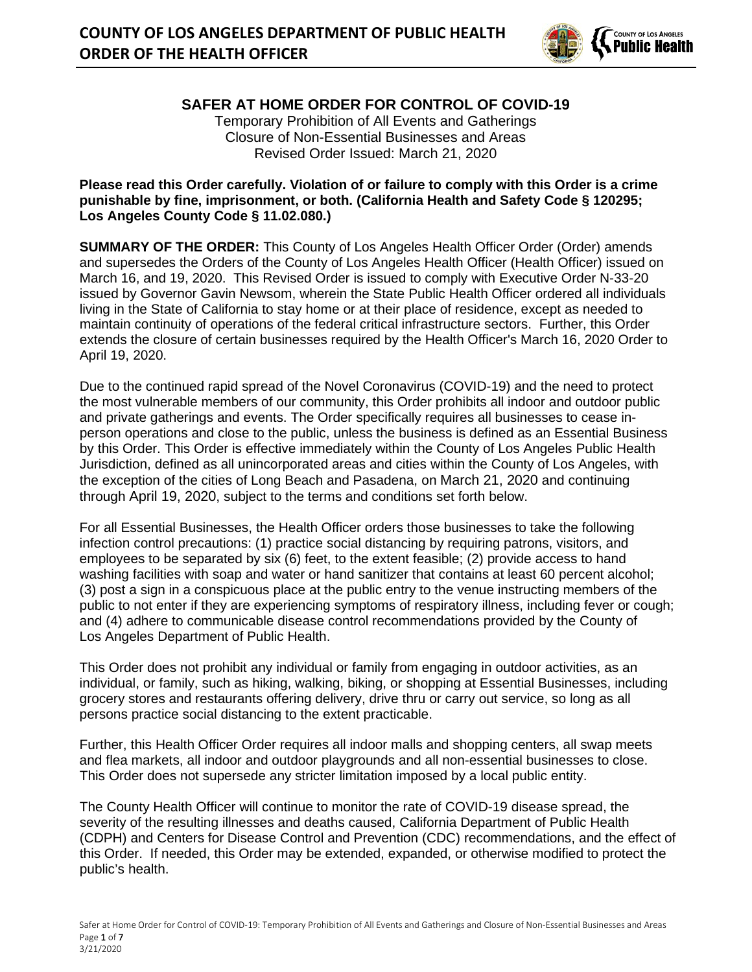

**SAFER AT HOME ORDER FOR CONTROL OF COVID-19** Temporary Prohibition of All Events and Gatherings Closure of Non-Essential Businesses and Areas Revised Order Issued: March 21, 2020

#### **Please read this Order carefully. Violation of or failure to comply with this Order is a crime punishable by fine, imprisonment, or both. (California Health and Safety Code § 120295; Los Angeles County Code § 11.02.080.)**

**SUMMARY OF THE ORDER:** This County of Los Angeles Health Officer Order (Order) amends and supersedes the Orders of the County of Los Angeles Health Officer (Health Officer) issued on March 16, and 19, 2020. This Revised Order is issued to comply with Executive Order N-33-20 issued by Governor Gavin Newsom, wherein the State Public Health Officer ordered all individuals living in the State of California to stay home or at their place of residence, except as needed to maintain continuity of operations of the federal critical infrastructure sectors. Further, this Order extends the closure of certain businesses required by the Health Officer's March 16, 2020 Order to April 19, 2020.

Due to the continued rapid spread of the Novel Coronavirus (COVID-19) and the need to protect the most vulnerable members of our community, this Order prohibits all indoor and outdoor public and private gatherings and events. The Order specifically requires all businesses to cease inperson operations and close to the public, unless the business is defined as an Essential Business by this Order. This Order is effective immediately within the County of Los Angeles Public Health Jurisdiction, defined as all unincorporated areas and cities within the County of Los Angeles, with the exception of the cities of Long Beach and Pasadena, on March 21, 2020 and continuing through April 19, 2020, subject to the terms and conditions set forth below.

For all Essential Businesses, the Health Officer orders those businesses to take the following infection control precautions: (1) practice social distancing by requiring patrons, visitors, and employees to be separated by six (6) feet, to the extent feasible; (2) provide access to hand washing facilities with soap and water or hand sanitizer that contains at least 60 percent alcohol; (3) post a sign in a conspicuous place at the public entry to the venue instructing members of the public to not enter if they are experiencing symptoms of respiratory illness, including fever or cough; and (4) adhere to communicable disease control recommendations provided by the County of Los Angeles Department of Public Health.

This Order does not prohibit any individual or family from engaging in outdoor activities, as an individual, or family, such as hiking, walking, biking, or shopping at Essential Businesses, including grocery stores and restaurants offering delivery, drive thru or carry out service, so long as all persons practice social distancing to the extent practicable.

Further, this Health Officer Order requires all indoor malls and shopping centers, all swap meets and flea markets, all indoor and outdoor playgrounds and all non-essential businesses to close. This Order does not supersede any stricter limitation imposed by a local public entity.

The County Health Officer will continue to monitor the rate of COVID-19 disease spread, the severity of the resulting illnesses and deaths caused, California Department of Public Health (CDPH) and Centers for Disease Control and Prevention (CDC) recommendations, and the effect of this Order. If needed, this Order may be extended, expanded, or otherwise modified to protect the public's health.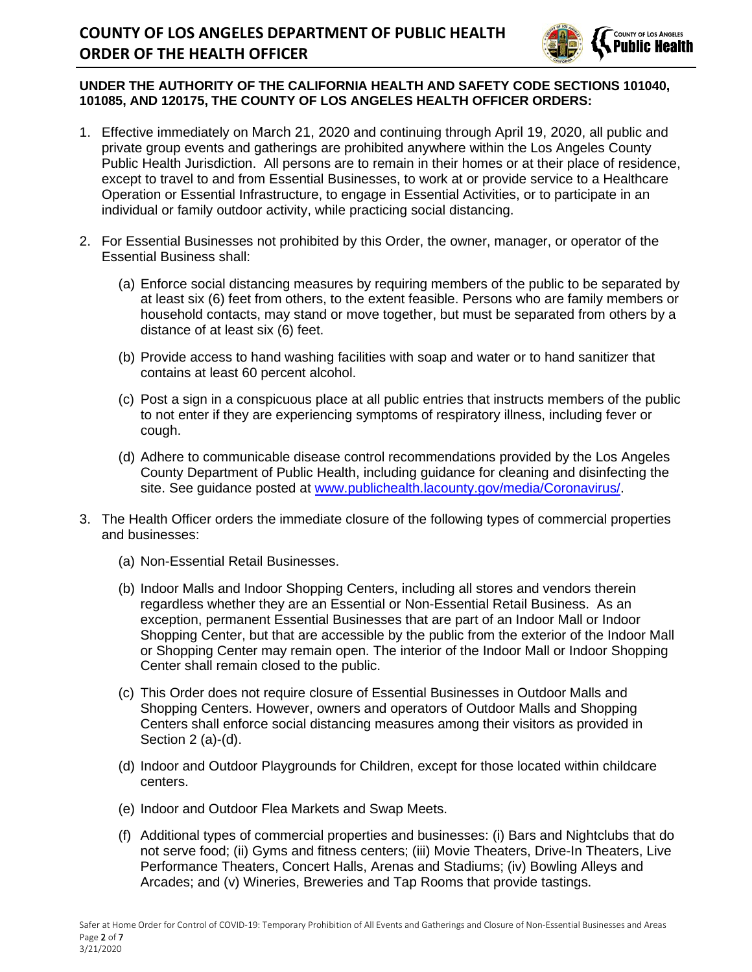

### **UNDER THE AUTHORITY OF THE CALIFORNIA HEALTH AND SAFETY CODE SECTIONS 101040, 101085, AND 120175, THE COUNTY OF LOS ANGELES HEALTH OFFICER ORDERS:**

- 1. Effective immediately on March 21, 2020 and continuing through April 19, 2020, all public and private group events and gatherings are prohibited anywhere within the Los Angeles County Public Health Jurisdiction. All persons are to remain in their homes or at their place of residence, except to travel to and from Essential Businesses, to work at or provide service to a Healthcare Operation or Essential Infrastructure, to engage in Essential Activities, or to participate in an individual or family outdoor activity, while practicing social distancing.
- 2. For Essential Businesses not prohibited by this Order, the owner, manager, or operator of the Essential Business shall:
	- (a) Enforce social distancing measures by requiring members of the public to be separated by at least six (6) feet from others, to the extent feasible. Persons who are family members or household contacts, may stand or move together, but must be separated from others by a distance of at least six (6) feet.
	- (b) Provide access to hand washing facilities with soap and water or to hand sanitizer that contains at least 60 percent alcohol.
	- (c) Post a sign in a conspicuous place at all public entries that instructs members of the public to not enter if they are experiencing symptoms of respiratory illness, including fever or cough.
	- (d) Adhere to communicable disease control recommendations provided by the Los Angeles County Department of Public Health, including guidance for cleaning and disinfecting the site. See guidance posted at [www.publichealth.lacounty.gov/media/Coronavirus/.](http://www.publichealth.lacounty.gov/media/Coronavirus/)
- 3. The Health Officer orders the immediate closure of the following types of commercial properties and businesses:
	- (a) Non-Essential Retail Businesses.
	- (b) Indoor Malls and Indoor Shopping Centers, including all stores and vendors therein regardless whether they are an Essential or Non-Essential Retail Business. As an exception, permanent Essential Businesses that are part of an Indoor Mall or Indoor Shopping Center, but that are accessible by the public from the exterior of the Indoor Mall or Shopping Center may remain open. The interior of the Indoor Mall or Indoor Shopping Center shall remain closed to the public.
	- (c) This Order does not require closure of Essential Businesses in Outdoor Malls and Shopping Centers. However, owners and operators of Outdoor Malls and Shopping Centers shall enforce social distancing measures among their visitors as provided in Section 2 (a)-(d).
	- (d) Indoor and Outdoor Playgrounds for Children, except for those located within childcare centers.
	- (e) Indoor and Outdoor Flea Markets and Swap Meets.
	- (f) Additional types of commercial properties and businesses: (i) Bars and Nightclubs that do not serve food; (ii) Gyms and fitness centers; (iii) Movie Theaters, Drive-In Theaters, Live Performance Theaters, Concert Halls, Arenas and Stadiums; (iv) Bowling Alleys and Arcades; and (v) Wineries, Breweries and Tap Rooms that provide tastings.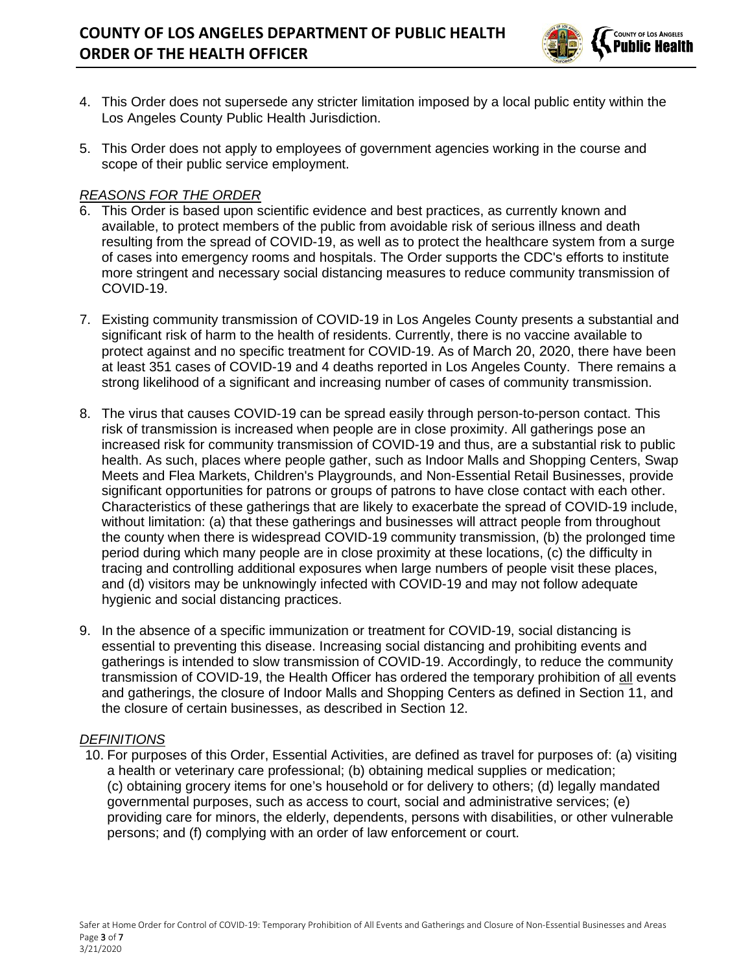

- 4. This Order does not supersede any stricter limitation imposed by a local public entity within the Los Angeles County Public Health Jurisdiction.
- 5. This Order does not apply to employees of government agencies working in the course and scope of their public service employment.

### *REASONS FOR THE ORDER*

- 6. This Order is based upon scientific evidence and best practices, as currently known and available, to protect members of the public from avoidable risk of serious illness and death resulting from the spread of COVID-19, as well as to protect the healthcare system from a surge of cases into emergency rooms and hospitals. The Order supports the CDC's efforts to institute more stringent and necessary social distancing measures to reduce community transmission of COVID-19.
- 7. Existing community transmission of COVID-19 in Los Angeles County presents a substantial and significant risk of harm to the health of residents. Currently, there is no vaccine available to protect against and no specific treatment for COVID-19. As of March 20, 2020, there have been at least 351 cases of COVID-19 and 4 deaths reported in Los Angeles County. There remains a strong likelihood of a significant and increasing number of cases of community transmission.
- 8. The virus that causes COVID-19 can be spread easily through person-to-person contact. This risk of transmission is increased when people are in close proximity. All gatherings pose an increased risk for community transmission of COVID-19 and thus, are a substantial risk to public health. As such, places where people gather, such as Indoor Malls and Shopping Centers, Swap Meets and Flea Markets, Children's Playgrounds, and Non-Essential Retail Businesses, provide significant opportunities for patrons or groups of patrons to have close contact with each other. Characteristics of these gatherings that are likely to exacerbate the spread of COVID-19 include, without limitation: (a) that these gatherings and businesses will attract people from throughout the county when there is widespread COVID-19 community transmission, (b) the prolonged time period during which many people are in close proximity at these locations, (c) the difficulty in tracing and controlling additional exposures when large numbers of people visit these places, and (d) visitors may be unknowingly infected with COVID-19 and may not follow adequate hygienic and social distancing practices.
- 9. In the absence of a specific immunization or treatment for COVID-19, social distancing is essential to preventing this disease. Increasing social distancing and prohibiting events and gatherings is intended to slow transmission of COVID-19. Accordingly, to reduce the community transmission of COVID-19, the Health Officer has ordered the temporary prohibition of all events and gatherings, the closure of Indoor Malls and Shopping Centers as defined in Section 11, and the closure of certain businesses, as described in Section 12.

### *DEFINITIONS*

10. For purposes of this Order, Essential Activities, are defined as travel for purposes of: (a) visiting a health or veterinary care professional; (b) obtaining medical supplies or medication; (c) obtaining grocery items for one's household or for delivery to others; (d) legally mandated governmental purposes, such as access to court, social and administrative services; (e) providing care for minors, the elderly, dependents, persons with disabilities, or other vulnerable persons; and (f) complying with an order of law enforcement or court.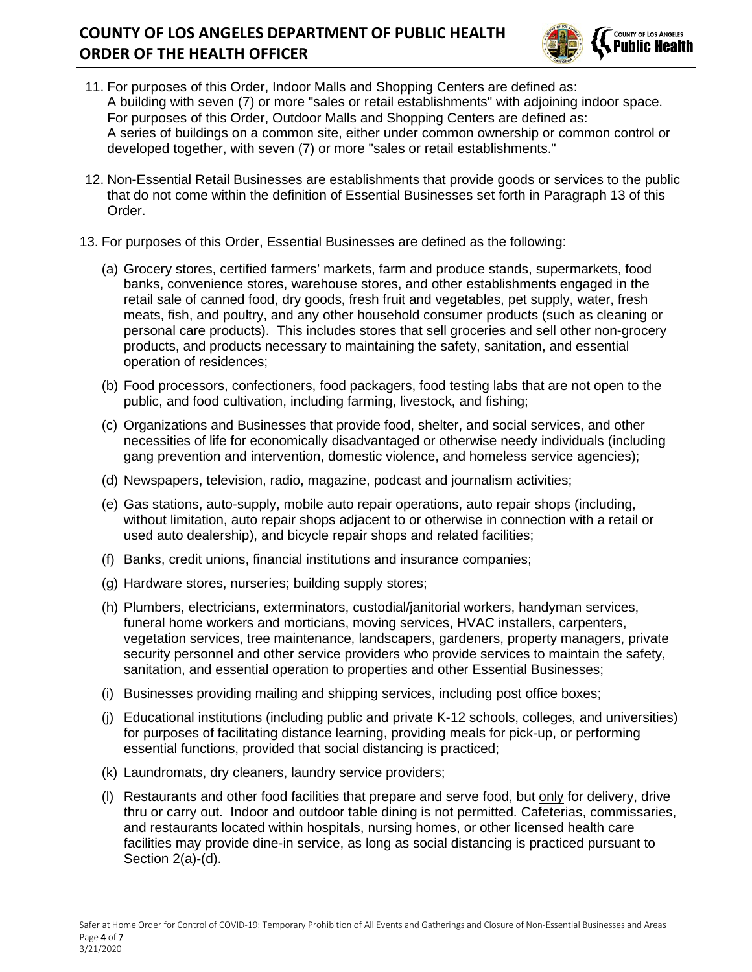# **COUNTY OF LOS ANGELES DEPARTMENT OF PUBLIC HEALTH ORDER OF THE HEALTH OFFICER**



- 11. For purposes of this Order, Indoor Malls and Shopping Centers are defined as: A building with seven (7) or more "sales or retail establishments" with adjoining indoor space. For purposes of this Order, Outdoor Malls and Shopping Centers are defined as: A series of buildings on a common site, either under common ownership or common control or developed together, with seven (7) or more "sales or retail establishments."
- 12. Non-Essential Retail Businesses are establishments that provide goods or services to the public that do not come within the definition of Essential Businesses set forth in Paragraph 13 of this Order.
- 13. For purposes of this Order, Essential Businesses are defined as the following:
	- (a) Grocery stores, certified farmers' markets, farm and produce stands, supermarkets, food banks, convenience stores, warehouse stores, and other establishments engaged in the retail sale of canned food, dry goods, fresh fruit and vegetables, pet supply, water, fresh meats, fish, and poultry, and any other household consumer products (such as cleaning or personal care products). This includes stores that sell groceries and sell other non-grocery products, and products necessary to maintaining the safety, sanitation, and essential operation of residences;
	- (b) Food processors, confectioners, food packagers, food testing labs that are not open to the public, and food cultivation, including farming, livestock, and fishing;
	- (c) Organizations and Businesses that provide food, shelter, and social services, and other necessities of life for economically disadvantaged or otherwise needy individuals (including gang prevention and intervention, domestic violence, and homeless service agencies);
	- (d) Newspapers, television, radio, magazine, podcast and journalism activities;
	- (e) Gas stations, auto-supply, mobile auto repair operations, auto repair shops (including, without limitation, auto repair shops adjacent to or otherwise in connection with a retail or used auto dealership), and bicycle repair shops and related facilities;
	- (f) Banks, credit unions, financial institutions and insurance companies;
	- (g) Hardware stores, nurseries; building supply stores;
	- (h) Plumbers, electricians, exterminators, custodial/janitorial workers, handyman services, funeral home workers and morticians, moving services, HVAC installers, carpenters, vegetation services, tree maintenance, landscapers, gardeners, property managers, private security personnel and other service providers who provide services to maintain the safety, sanitation, and essential operation to properties and other Essential Businesses;
	- (i) Businesses providing mailing and shipping services, including post office boxes;
	- (j) Educational institutions (including public and private K-12 schools, colleges, and universities) for purposes of facilitating distance learning, providing meals for pick-up, or performing essential functions, provided that social distancing is practiced;
	- (k) Laundromats, dry cleaners, laundry service providers;
	- (l) Restaurants and other food facilities that prepare and serve food, but only for delivery, drive thru or carry out. Indoor and outdoor table dining is not permitted. Cafeterias, commissaries, and restaurants located within hospitals, nursing homes, or other licensed health care facilities may provide dine-in service, as long as social distancing is practiced pursuant to Section 2(a)-(d).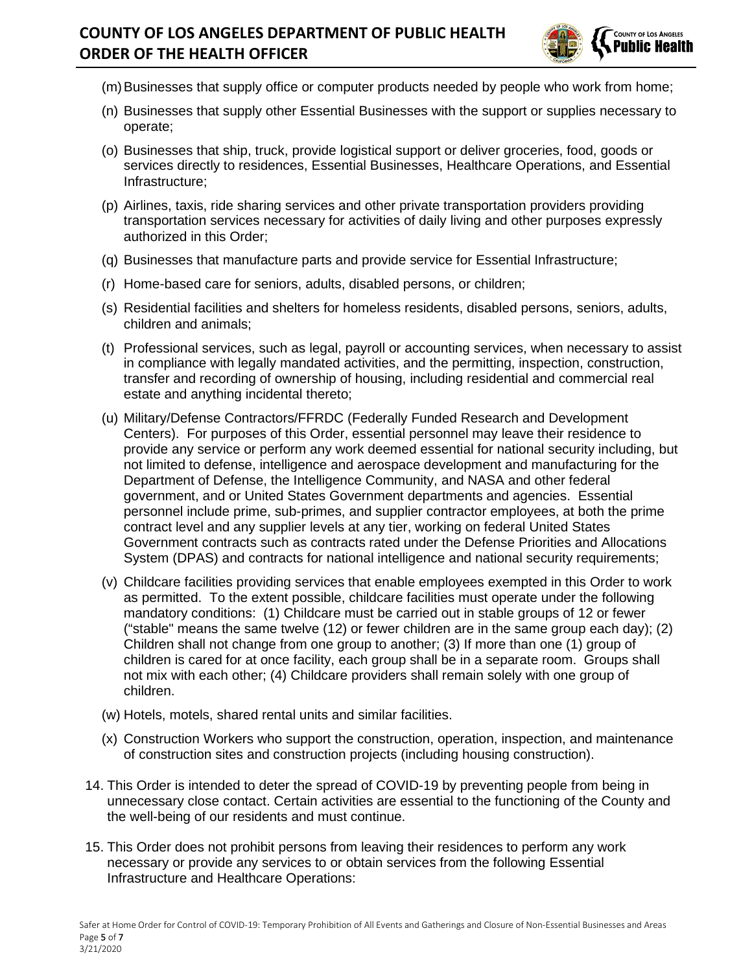# **COUNTY OF LOS ANGELES DEPARTMENT OF PUBLIC HEALTH ORDER OF THE HEALTH OFFICER**



- (m) Businesses that supply office or computer products needed by people who work from home;
- (n) Businesses that supply other Essential Businesses with the support or supplies necessary to operate;
- (o) Businesses that ship, truck, provide logistical support or deliver groceries, food, goods or services directly to residences, Essential Businesses, Healthcare Operations, and Essential Infrastructure;
- (p) Airlines, taxis, ride sharing services and other private transportation providers providing transportation services necessary for activities of daily living and other purposes expressly authorized in this Order;
- (q) Businesses that manufacture parts and provide service for Essential Infrastructure;
- (r) Home-based care for seniors, adults, disabled persons, or children;
- (s) Residential facilities and shelters for homeless residents, disabled persons, seniors, adults, children and animals;
- (t) Professional services, such as legal, payroll or accounting services, when necessary to assist in compliance with legally mandated activities, and the permitting, inspection, construction, transfer and recording of ownership of housing, including residential and commercial real estate and anything incidental thereto;
- (u) Military/Defense Contractors/FFRDC (Federally Funded Research and Development Centers). For purposes of this Order, essential personnel may leave their residence to provide any service or perform any work deemed essential for national security including, but not limited to defense, intelligence and aerospace development and manufacturing for the Department of Defense, the Intelligence Community, and NASA and other federal government, and or United States Government departments and agencies. Essential personnel include prime, sub-primes, and supplier contractor employees, at both the prime contract level and any supplier levels at any tier, working on federal United States Government contracts such as contracts rated under the Defense Priorities and Allocations System (DPAS) and contracts for national intelligence and national security requirements;
- (v) Childcare facilities providing services that enable employees exempted in this Order to work as permitted. To the extent possible, childcare facilities must operate under the following mandatory conditions: (1) Childcare must be carried out in stable groups of 12 or fewer ("stable" means the same twelve (12) or fewer children are in the same group each day); (2) Children shall not change from one group to another; (3) If more than one (1) group of children is cared for at once facility, each group shall be in a separate room. Groups shall not mix with each other; (4) Childcare providers shall remain solely with one group of children.
- (w) Hotels, motels, shared rental units and similar facilities.
- (x) Construction Workers who support the construction, operation, inspection, and maintenance of construction sites and construction projects (including housing construction).
- 14. This Order is intended to deter the spread of COVID-19 by preventing people from being in unnecessary close contact. Certain activities are essential to the functioning of the County and the well-being of our residents and must continue.
- 15. This Order does not prohibit persons from leaving their residences to perform any work necessary or provide any services to or obtain services from the following Essential Infrastructure and Healthcare Operations: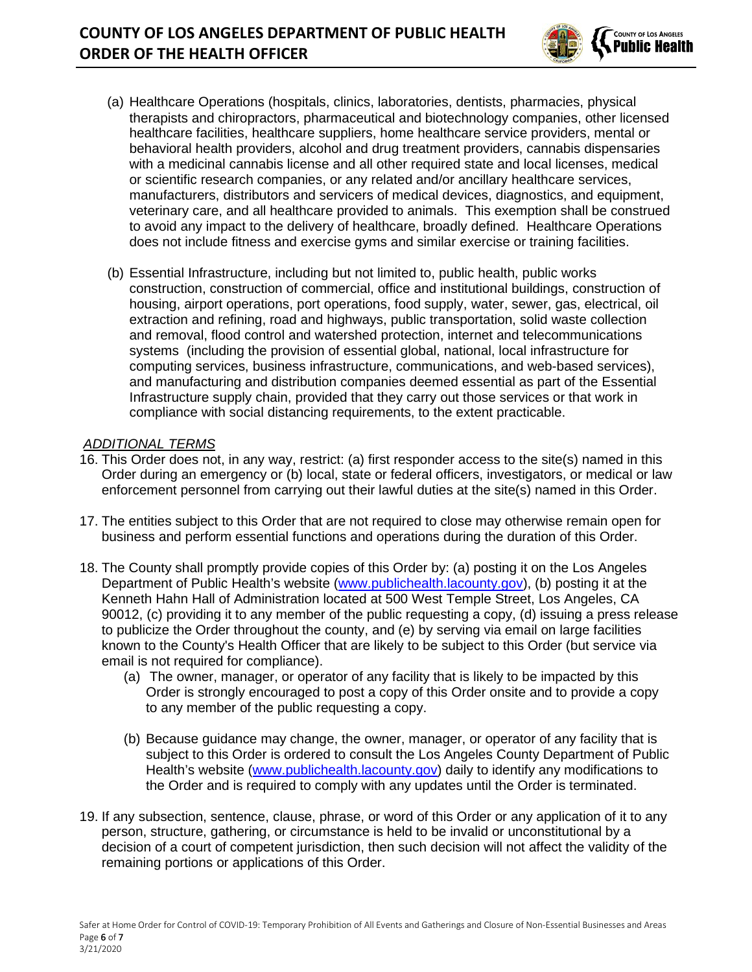

- (a) Healthcare Operations (hospitals, clinics, laboratories, dentists, pharmacies, physical therapists and chiropractors, pharmaceutical and biotechnology companies, other licensed healthcare facilities, healthcare suppliers, home healthcare service providers, mental or behavioral health providers, alcohol and drug treatment providers, cannabis dispensaries with a medicinal cannabis license and all other required state and local licenses, medical or scientific research companies, or any related and/or ancillary healthcare services, manufacturers, distributors and servicers of medical devices, diagnostics, and equipment, veterinary care, and all healthcare provided to animals. This exemption shall be construed to avoid any impact to the delivery of healthcare, broadly defined. Healthcare Operations does not include fitness and exercise gyms and similar exercise or training facilities.
- (b) Essential Infrastructure, including but not limited to, public health, public works construction, construction of commercial, office and institutional buildings, construction of housing, airport operations, port operations, food supply, water, sewer, gas, electrical, oil extraction and refining, road and highways, public transportation, solid waste collection and removal, flood control and watershed protection, internet and telecommunications systems (including the provision of essential global, national, local infrastructure for computing services, business infrastructure, communications, and web-based services), and manufacturing and distribution companies deemed essential as part of the Essential Infrastructure supply chain, provided that they carry out those services or that work in compliance with social distancing requirements, to the extent practicable.

### *ADDITIONAL TERMS*

- 16. This Order does not, in any way, restrict: (a) first responder access to the site(s) named in this Order during an emergency or (b) local, state or federal officers, investigators, or medical or law enforcement personnel from carrying out their lawful duties at the site(s) named in this Order.
- 17. The entities subject to this Order that are not required to close may otherwise remain open for business and perform essential functions and operations during the duration of this Order.
- 18. The County shall promptly provide copies of this Order by: (a) posting it on the Los Angeles Department of Public Health's website [\(www.publichealth.lacounty.gov\)](http://www.publichealth.lacounty.gov/), (b) posting it at the Kenneth Hahn Hall of Administration located at 500 West Temple Street, Los Angeles, CA 90012, (c) providing it to any member of the public requesting a copy, (d) issuing a press release to publicize the Order throughout the county, and (e) by serving via email on large facilities known to the County's Health Officer that are likely to be subject to this Order (but service via email is not required for compliance).
	- (a) The owner, manager, or operator of any facility that is likely to be impacted by this Order is strongly encouraged to post a copy of this Order onsite and to provide a copy to any member of the public requesting a copy.
	- (b) Because guidance may change, the owner, manager, or operator of any facility that is subject to this Order is ordered to consult the Los Angeles County Department of Public Health's website [\(www.publichealth.lacounty.gov\)](http://www.publichealth.lacounty.gov/) daily to identify any modifications to the Order and is required to comply with any updates until the Order is terminated.
- 19. If any subsection, sentence, clause, phrase, or word of this Order or any application of it to any person, structure, gathering, or circumstance is held to be invalid or unconstitutional by a decision of a court of competent jurisdiction, then such decision will not affect the validity of the remaining portions or applications of this Order.